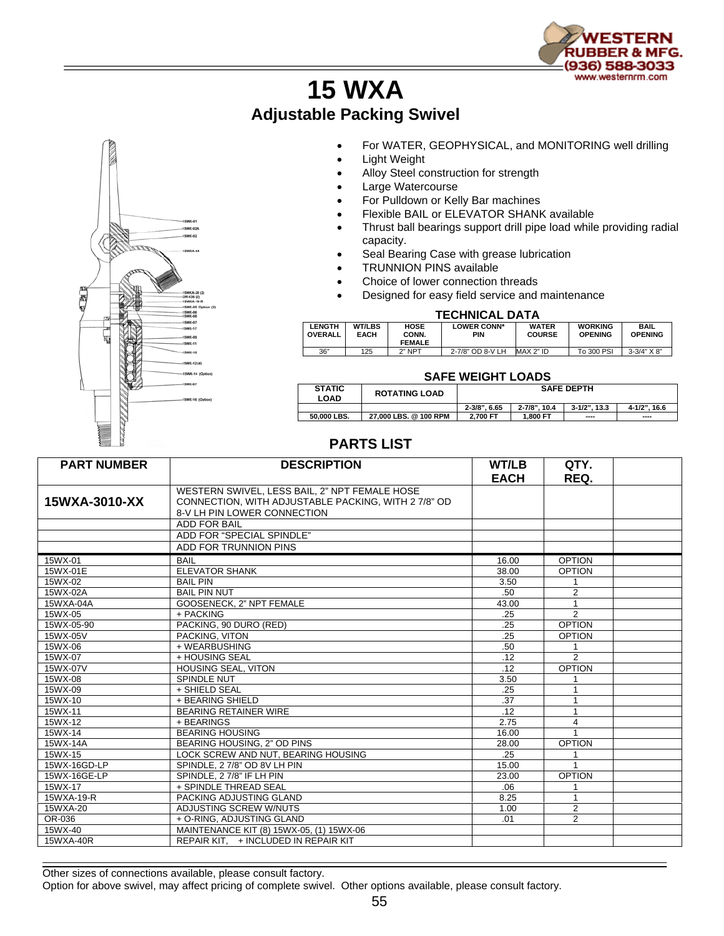

## **15 WXA Adjustable Packing Swivel**



- For WATER, GEOPHYSICAL, and MONITORING well drilling
- Light Weight
- Alloy Steel construction for strength
- Large Watercourse
- For Pulldown or Kelly Bar machines
- Flexible BAIL or ELEVATOR SHANK available
- Thrust ball bearings support drill pipe load while providing radial capacity.
- Seal Bearing Case with grease lubrication
- TRUNNION PINS available
- Choice of lower connection threads
- Designed for easy field service and maintenance

## **TECHNICAL DATA**

| <b>LENGTH</b><br><b>OVERALL</b> | <b>WT/LBS</b><br><b>EACH</b> | <b>HOSE</b><br>CONN. | <b>LOWER CONN*</b><br>PIN | <b>WATER</b><br><b>COURSE</b> | <b>WORKING</b><br><b>OPENING</b> | <b>BAIL</b><br><b>OPENING</b> |  |  |
|---------------------------------|------------------------------|----------------------|---------------------------|-------------------------------|----------------------------------|-------------------------------|--|--|
|                                 |                              | <b>FEMALE</b>        |                           |                               |                                  |                               |  |  |
| 36"                             | 125                          | $2"$ NPT             | 2-7/8" OD 8-V LH          | MAX 2" ID                     | To 300 PSI                       | $3-3/4" X 8"$                 |  |  |

## **SAFE WEIGHT LOADS**

| <b>STATIC</b><br>LOAD | <b>ROTATING LOAD</b>  | <b>SAFE DEPTH</b> |              |                        |              |  |
|-----------------------|-----------------------|-------------------|--------------|------------------------|--------------|--|
|                       |                       | $2 - 3/8$ ", 6.65 | 2-7/8", 10.4 | $3 - 1/2$ ".<br>13.3   | 4-1/2", 16.6 |  |
| 50.000 LBS.           | 27.000 LBS, @ 100 RPM | 2.700 FT          | 1.800 FT     | $\qquad \qquad \cdots$ | $\cdots$     |  |

## **PARTS LIST**

| <b>PART NUMBER</b> | <b>DESCRIPTION</b>                                                                                   | <b>WT/LB</b> | QTY.           |  |
|--------------------|------------------------------------------------------------------------------------------------------|--------------|----------------|--|
|                    |                                                                                                      | <b>EACH</b>  | REQ.           |  |
| 15WXA-3010-XX      | WESTERN SWIVEL, LESS BAIL, 2" NPT FEMALE HOSE<br>CONNECTION, WITH ADJUSTABLE PACKING, WITH 2 7/8" OD |              |                |  |
|                    | 8-V LH PIN LOWER CONNECTION                                                                          |              |                |  |
|                    | <b>ADD FOR BAIL</b>                                                                                  |              |                |  |
|                    | ADD FOR "SPECIAL SPINDLE"                                                                            |              |                |  |
|                    | ADD FOR TRUNNION PINS                                                                                |              |                |  |
| 15WX-01            | <b>BAIL</b>                                                                                          | 16.00        | <b>OPTION</b>  |  |
| 15WX-01E           | <b>ELEVATOR SHANK</b>                                                                                | 38.00        | <b>OPTION</b>  |  |
| 15WX-02            | <b>BAIL PIN</b>                                                                                      | 3.50         |                |  |
| 15WX-02A           | <b>BAIL PIN NUT</b>                                                                                  | .50          | $\overline{2}$ |  |
| 15WXA-04A          | GOOSENECK, 2" NPT FEMALE                                                                             | 43.00        |                |  |
| 15WX-05            | + PACKING                                                                                            | .25          | $\overline{2}$ |  |
| 15WX-05-90         | PACKING, 90 DURO (RED)                                                                               | .25          | <b>OPTION</b>  |  |
| 15WX-05V           | PACKING, VITON                                                                                       | .25          | <b>OPTION</b>  |  |
| 15WX-06            | + WEARBUSHING                                                                                        | .50          | $\mathbf{1}$   |  |
| 15WX-07            | + HOUSING SEAL                                                                                       | .12          | $\mathfrak{p}$ |  |
| 15WX-07V           | <b>HOUSING SEAL, VITON</b>                                                                           | .12          | <b>OPTION</b>  |  |
| 15WX-08            | SPINDLE NUT                                                                                          | 3.50         |                |  |
| 15WX-09            | + SHIELD SEAL                                                                                        | .25          |                |  |
| 15WX-10            | + BEARING SHIELD                                                                                     | .37          |                |  |
| 15WX-11            | <b>BEARING RETAINER WIRE</b>                                                                         | .12          | $\mathbf{1}$   |  |
| 15WX-12            | + BEARINGS                                                                                           | 2.75         | 4              |  |
| 15WX-14            | <b>BEARING HOUSING</b>                                                                               | 16.00        |                |  |
| 15WX-14A           | BEARING HOUSING, 2" OD PINS                                                                          | 28.00        | <b>OPTION</b>  |  |
| 15WX-15            | LOCK SCREW AND NUT. BEARING HOUSING                                                                  | .25          |                |  |
| 15WX-16GD-LP       | SPINDLE, 27/8" OD 8V LH PIN                                                                          | 15.00        |                |  |
| 15WX-16GE-LP       | SPINDLE, 27/8" IF LH PIN                                                                             | 23.00        | <b>OPTION</b>  |  |
| 15WX-17            | + SPINDLE THREAD SEAL                                                                                | .06          |                |  |
| 15WXA-19-R         | PACKING ADJUSTING GLAND                                                                              | 8.25         | $\mathbf{1}$   |  |
| 15WXA-20           | ADJUSTING SCREW W/NUTS                                                                               | 1.00         | $\overline{2}$ |  |
| OR-036             | + O-RING, ADJUSTING GLAND                                                                            | .01          | $\overline{2}$ |  |
| 15WX-40            | MAINTENANCE KIT (8) 15WX-05, (1) 15WX-06                                                             |              |                |  |
| 15WXA-40R          | REPAIR KIT. + INCLUDED IN REPAIR KIT                                                                 |              |                |  |

Other sizes of connections available, please consult factory.

Option for above swivel, may affect pricing of complete swivel. Other options available, please consult factory.